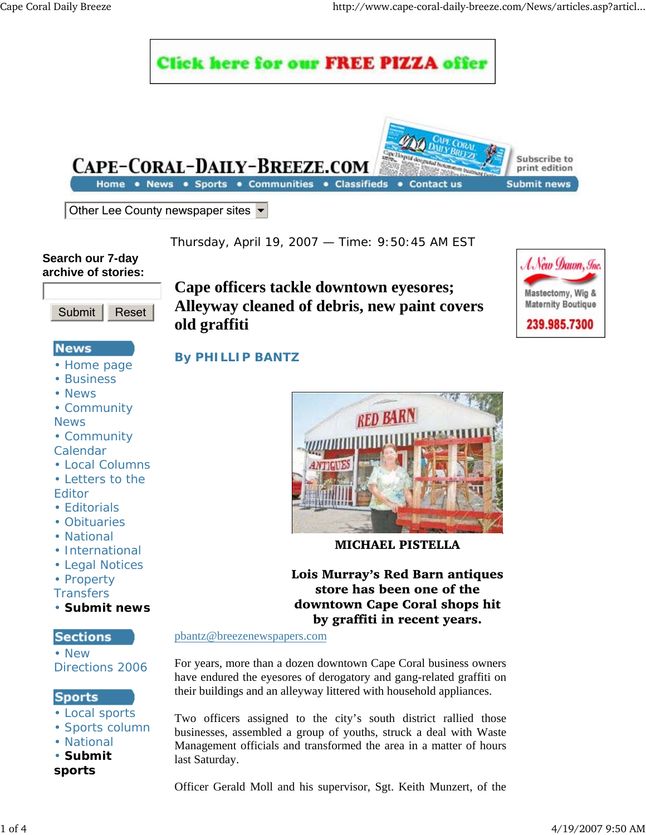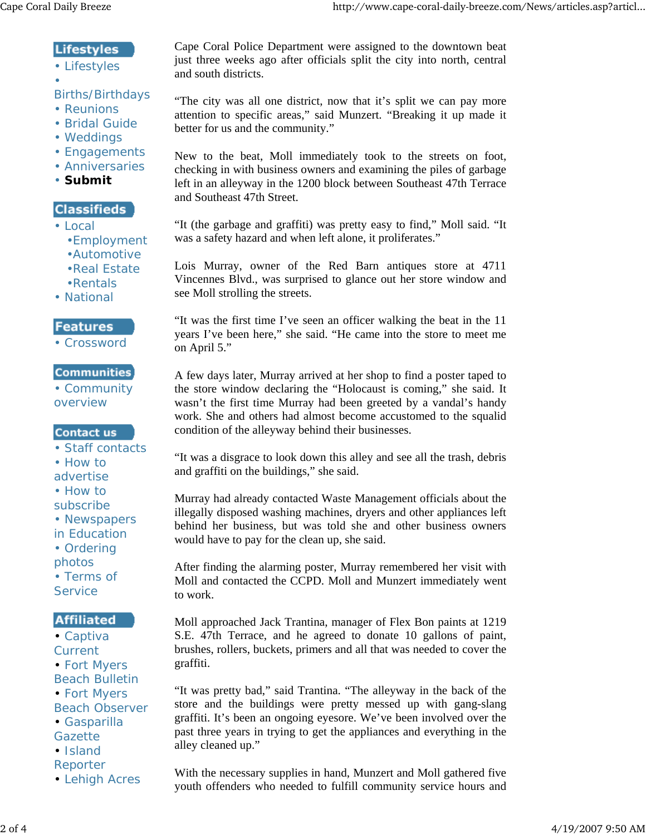## **Lifestyles**

• Lifestyles •

#### Births/Birthdays

- Reunions
- Bridal Guide
- Weddings
- Engagements
- Anniversaries
- **Submit**

## **Classifieds**

- Local
	- •Employment
	- •Automotive
	- •Real Estate
	- •Rentals
- National

### **Features**

• Crossword

#### **Communities**

• Community overview

#### **Contact us**

- Staff contacts
- How to
- advertise
- How to subscribe
- Newspapers
- in Education
- Ordering photos
- Terms of **Service**

# **Affiliated**

- Captiva **Current** • Fort Myers Beach Bulletin • Fort Myers Beach Observer • Gasparilla **Gazette** • Island
- Reporter
- Lehigh Acres

Cape Coral Police Department were assigned to the downtown beat just three weeks ago after officials split the city into north, central and south districts.

"The city was all one district, now that it's split we can pay more attention to specific areas," said Munzert. "Breaking it up made it better for us and the community."

New to the beat, Moll immediately took to the streets on foot, checking in with business owners and examining the piles of garbage left in an alleyway in the 1200 block between Southeast 47th Terrace and Southeast 47th Street.

"It (the garbage and graffiti) was pretty easy to find," Moll said. "It was a safety hazard and when left alone, it proliferates."

Lois Murray, owner of the Red Barn antiques store at 4711 Vincennes Blvd., was surprised to glance out her store window and see Moll strolling the streets.

"It was the first time I've seen an officer walking the beat in the 11 years I've been here," she said. "He came into the store to meet me on April 5."

A few days later, Murray arrived at her shop to find a poster taped to the store window declaring the "Holocaust is coming," she said. It wasn't the first time Murray had been greeted by a vandal's handy work. She and others had almost become accustomed to the squalid condition of the alleyway behind their businesses.

"It was a disgrace to look down this alley and see all the trash, debris and graffiti on the buildings," she said.

Murray had already contacted Waste Management officials about the illegally disposed washing machines, dryers and other appliances left behind her business, but was told she and other business owners would have to pay for the clean up, she said.

After finding the alarming poster, Murray remembered her visit with Moll and contacted the CCPD. Moll and Munzert immediately went to work.

Moll approached Jack Trantina, manager of Flex Bon paints at 1219 S.E. 47th Terrace, and he agreed to donate 10 gallons of paint, brushes, rollers, buckets, primers and all that was needed to cover the graffiti.

"It was pretty bad," said Trantina. "The alleyway in the back of the store and the buildings were pretty messed up with gang-slang graffiti. It's been an ongoing eyesore. We've been involved over the past three years in trying to get the appliances and everything in the alley cleaned up."

With the necessary supplies in hand, Munzert and Moll gathered five youth offenders who needed to fulfill community service hours and